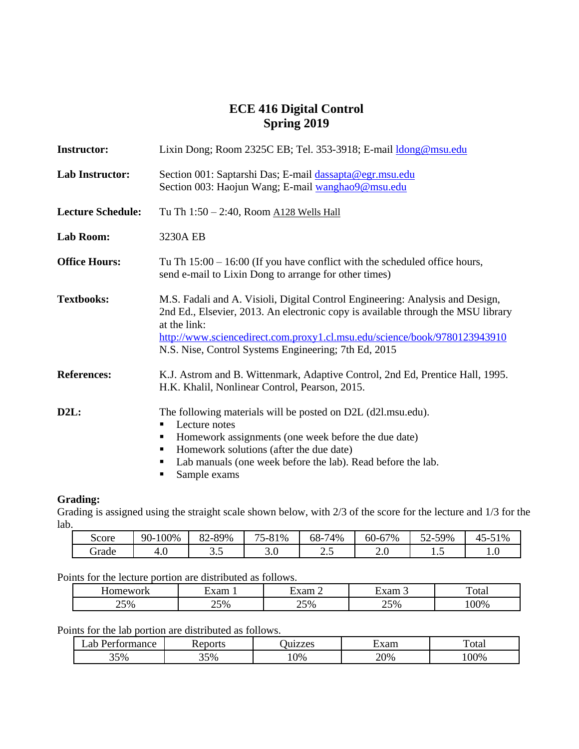# **ECE 416 Digital Control Spring 2019**

| <b>Instructor:</b>       | Lixin Dong; Room 2325C EB; Tel. 353-3918; E-mail <i>dong</i> @msu.edu                                                                                                                                                                                                                                                  |  |  |
|--------------------------|------------------------------------------------------------------------------------------------------------------------------------------------------------------------------------------------------------------------------------------------------------------------------------------------------------------------|--|--|
| <b>Lab Instructor:</b>   | Section 001: Saptarshi Das; E-mail dassapta@egr.msu.edu<br>Section 003: Haojun Wang; E-mail wanghao9@msu.edu                                                                                                                                                                                                           |  |  |
| <b>Lecture Schedule:</b> | Tu Th 1:50 - 2:40, Room A128 Wells Hall                                                                                                                                                                                                                                                                                |  |  |
| Lab Room:                | 3230A EB                                                                                                                                                                                                                                                                                                               |  |  |
| <b>Office Hours:</b>     | Tu Th $15:00 - 16:00$ (If you have conflict with the scheduled office hours,<br>send e-mail to Lixin Dong to arrange for other times)                                                                                                                                                                                  |  |  |
| <b>Textbooks:</b>        | M.S. Fadali and A. Visioli, Digital Control Engineering: Analysis and Design,<br>2nd Ed., Elsevier, 2013. An electronic copy is available through the MSU library<br>at the link:<br>http://www.sciencedirect.com.proxy1.cl.msu.edu/science/book/9780123943910<br>N.S. Nise, Control Systems Engineering; 7th Ed, 2015 |  |  |
| <b>References:</b>       | K.J. Astrom and B. Wittenmark, Adaptive Control, 2nd Ed, Prentice Hall, 1995.<br>H.K. Khalil, Nonlinear Control, Pearson, 2015.                                                                                                                                                                                        |  |  |
| D2L:                     | The following materials will be posted on D2L (d2l.msu.edu).<br>Lecture notes<br>٠<br>Homework assignments (one week before the due date)<br>п<br>Homework solutions (after the due date)<br>п<br>Lab manuals (one week before the lab). Read before the lab.<br>п<br>Sample exams<br>٠                                |  |  |

### **Grading:**

Grading is assigned using the straight scale shown below, with  $2/3$  of the score for the lecture and  $1/3$  for the lab.

| Score | 90-100% | 82-89% | 75-81%          | 74%<br>68- | 57%<br>$60-67$         | $\overline{\phantom{a}}$<br>-59%<br>.<br>.<br>◡▱ | 51%<br>-<br>ົີ –<br>$+$ |
|-------|---------|--------|-----------------|------------|------------------------|--------------------------------------------------|-------------------------|
| Frade | 4.U     | ັ∙ີ    | $\Omega$<br>J.V | ر          | $\epsilon$<br>∼<br>Z.U | ⊥ ∙ັ                                             | 1.V                     |

Points for the lecture portion are distributed as follows.

| ---- - - - --- - - - - - - - |                              |                                  |                 |             |
|------------------------------|------------------------------|----------------------------------|-----------------|-------------|
| nework<br>                   | $\mathbf{r}$ or $\mathbf{r}$ | $\cdot$ . $\cdot$ .              | $-1$<br>Adiil J | —<br>' otal |
| 25%                          | 50 <sub>6</sub><br>--        | 50 <sub>o</sub><br>$\sim$ $\sim$ | $5\%$<br>⊷      | 00%         |

Points for the lab portion are distributed as follows.

| ormance<br>. .ar | eports<br>TTC. | uizzes | ±xam      | —<br>otal |
|------------------|----------------|--------|-----------|-----------|
| 35%              | 35%            | 10%    | 20%<br>__ | .00%      |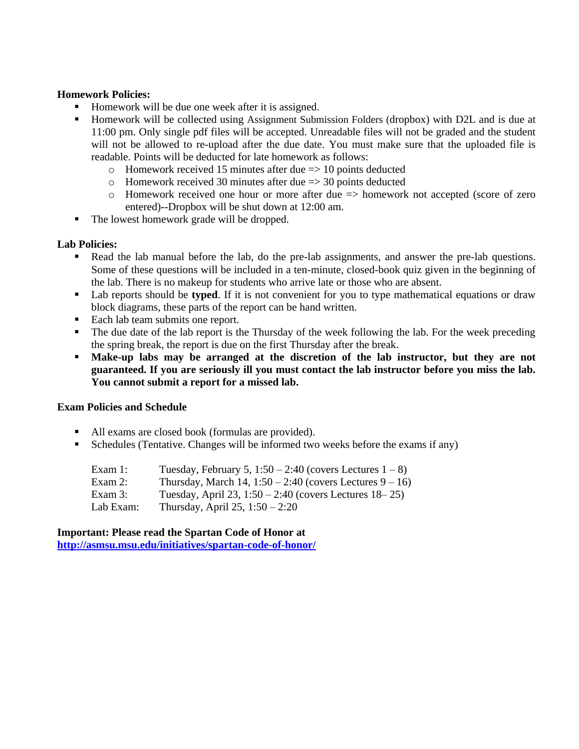### **Homework Policies:**

- Homework will be due one week after it is assigned.
- Homework will be collected using Assignment Submission Folders (dropbox) with D2L and is due at 11:00 pm. Only single pdf files will be accepted. Unreadable files will not be graded and the student will not be allowed to re-upload after the due date. You must make sure that the uploaded file is readable. Points will be deducted for late homework as follows:
	- $\circ$  Homework received 15 minutes after due  $\Rightarrow$  10 points deducted
	- $\circ$  Homework received 30 minutes after due => 30 points deducted
	- $\circ$  Homework received one hour or more after due  $\Rightarrow$  homework not accepted (score of zero entered)--Dropbox will be shut down at 12:00 am.
- The lowest homework grade will be dropped.

### **Lab Policies:**

- Read the lab manual before the lab, do the pre-lab assignments, and answer the pre-lab questions. Some of these questions will be included in a ten-minute, closed-book quiz given in the beginning of the lab. There is no makeup for students who arrive late or those who are absent.
- Lab reports should be **typed**. If it is not convenient for you to type mathematical equations or draw block diagrams, these parts of the report can be hand written.
- Each lab team submits one report.
- The due date of the lab report is the Thursday of the week following the lab. For the week preceding the spring break, the report is due on the first Thursday after the break.
- **Make-up labs may be arranged at the discretion of the lab instructor, but they are not guaranteed. If you are seriously ill you must contact the lab instructor before you miss the lab. You cannot submit a report for a missed lab.**

#### **Exam Policies and Schedule**

- All exams are closed book (formulas are provided).
- Schedules (Tentative. Changes will be informed two weeks before the exams if any)

Exam 1: Tuesday, February 5,  $1:50 - 2:40$  (covers Lectures  $1 - 8$ ) Exam 2: Thursday, March 14,  $1:50 - 2:40$  (covers Lectures  $9 - 16$ ) Exam 3: Tuesday, April 23, 1:50 – 2:40 (covers Lectures 18–25) Lab Exam: Thursday, April 25, 1:50 – 2:20

**Important: Please read the Spartan Code of Honor at <http://asmsu.msu.edu/initiatives/spartan-code-of-honor/>**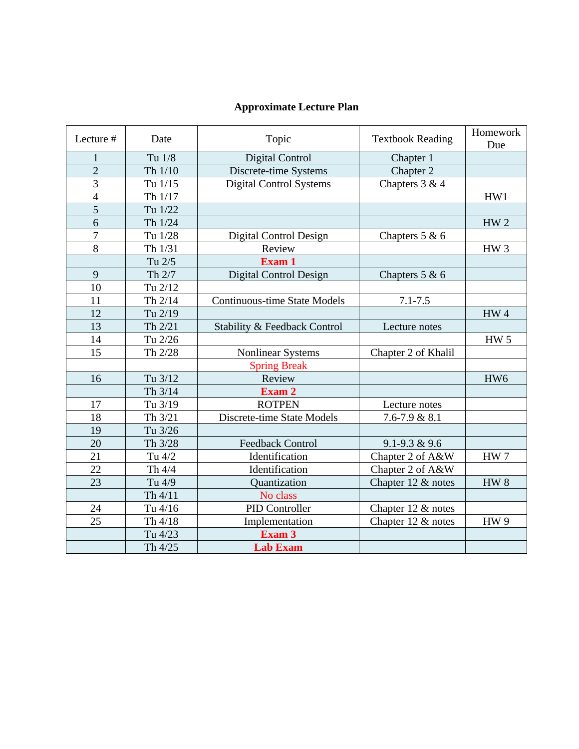# **Approximate Lecture Plan**

| Lecture #      | Date      | Topic                               | <b>Textbook Reading</b> | Homework<br>Due |
|----------------|-----------|-------------------------------------|-------------------------|-----------------|
| 1              | Tu 1/8    | <b>Digital Control</b>              | Chapter 1               |                 |
| $\overline{2}$ | Th 1/10   | Discrete-time Systems               | Chapter 2               |                 |
| $\overline{3}$ | Tu 1/15   | <b>Digital Control Systems</b>      | Chapters 3 & 4          |                 |
| $\overline{4}$ | Th 1/17   |                                     |                         | HW1             |
| 5              | Tu 1/22   |                                     |                         |                 |
| $\overline{6}$ | Th 1/24   |                                     |                         | HW <sub>2</sub> |
| 7              | Tu 1/28   | Digital Control Design              | Chapters $5 & 6$        |                 |
| 8              | Th 1/31   | Review                              |                         | HW <sub>3</sub> |
|                | Tu 2/5    | Exam 1                              |                         |                 |
| 9              | Th 2/7    | Digital Control Design              | Chapters $5 & 6$        |                 |
| 10             | Tu 2/12   |                                     |                         |                 |
| 11             | Th 2/14   | <b>Continuous-time State Models</b> | $7.1 - 7.5$             |                 |
| 12             | Tu 2/19   |                                     |                         | HW4             |
| 13             | Th 2/21   | Stability & Feedback Control        | Lecture notes           |                 |
| 14             | Tu 2/26   |                                     |                         | <b>HW 5</b>     |
| 15             | Th 2/28   | <b>Nonlinear Systems</b>            | Chapter 2 of Khalil     |                 |
|                |           | <b>Spring Break</b>                 |                         |                 |
| 16             | Tu 3/12   | Review                              |                         | HW <sub>6</sub> |
|                | Th $3/14$ | Exam 2                              |                         |                 |
| 17             | Tu 3/19   | <b>ROTPEN</b>                       | Lecture notes           |                 |
| 18             | Th 3/21   | Discrete-time State Models          | $7.6 - 7.9 & 8.1$       |                 |
| 19             | Tu 3/26   |                                     |                         |                 |
| 20             | Th 3/28   | <b>Feedback Control</b>             | $9.1 - 9.3 & 9.6$       |                 |
| 21             | Tu 4/2    | Identification                      | Chapter 2 of A&W        | HW <sub>7</sub> |
| 22             | Th 4/4    | Identification                      | Chapter 2 of A&W        |                 |
| 23             | Tu 4/9    | Quantization                        | Chapter 12 & notes      | HW <sub>8</sub> |
|                | Th 4/11   | No class                            |                         |                 |
| 24             | Tu 4/16   | PID Controller                      | Chapter 12 & notes      |                 |
| 25             | Th 4/18   | Implementation                      | Chapter 12 & notes      | HW <sub>9</sub> |
|                | Tu 4/23   | Exam 3                              |                         |                 |
|                | Th 4/25   | <b>Lab Exam</b>                     |                         |                 |